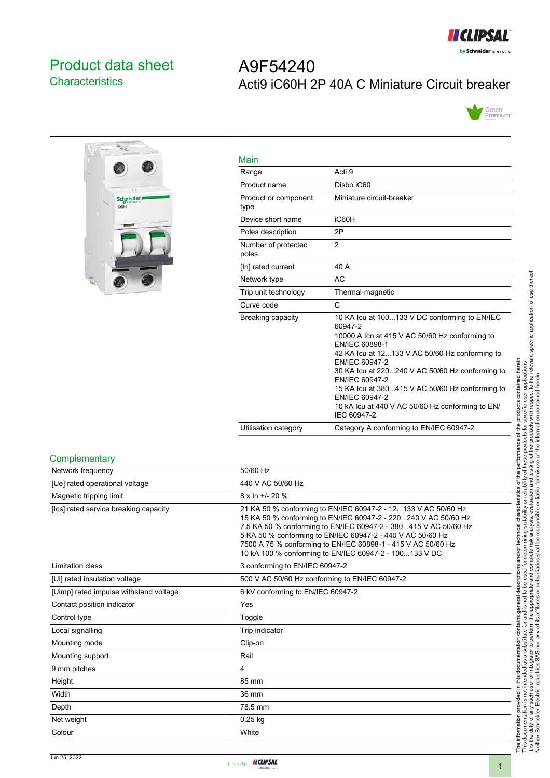

# <span id="page-0-0"></span>Product data sheet **Characteristics**

# A9F54240 Acti9 iC60H 2P 40A C Miniature Circuit breaker





| Main                         |                                                                                                                                                                                                                                                                                                                                                                                                               |
|------------------------------|---------------------------------------------------------------------------------------------------------------------------------------------------------------------------------------------------------------------------------------------------------------------------------------------------------------------------------------------------------------------------------------------------------------|
| Range                        | Acti 9                                                                                                                                                                                                                                                                                                                                                                                                        |
| Product name                 | Disbo iC60                                                                                                                                                                                                                                                                                                                                                                                                    |
| Product or component<br>type | Miniature circuit-breaker                                                                                                                                                                                                                                                                                                                                                                                     |
| Device short name            | iC60H                                                                                                                                                                                                                                                                                                                                                                                                         |
| Poles description            | 2P                                                                                                                                                                                                                                                                                                                                                                                                            |
| Number of protected<br>poles | $\overline{2}$                                                                                                                                                                                                                                                                                                                                                                                                |
| [In] rated current           | 40 A                                                                                                                                                                                                                                                                                                                                                                                                          |
| Network type                 | AC                                                                                                                                                                                                                                                                                                                                                                                                            |
| Trip unit technology         | Thermal-magnetic                                                                                                                                                                                                                                                                                                                                                                                              |
| Curve code                   | C                                                                                                                                                                                                                                                                                                                                                                                                             |
| Breaking capacity            | 10 KA Icu at 100133 V DC conforming to EN/IEC<br>60947-2<br>10000 A Icn at 415 V AC 50/60 Hz conforming to<br>EN/IEC 60898-1<br>42 KA Icu at 12133 V AC 50/60 Hz conforming to<br>EN/IEC 60947-2<br>30 KA lcu at 220240 V AC 50/60 Hz conforming to<br>EN/IEC 60947-2<br>15 KA lcu at 380415 V AC 50/60 Hz conforming to<br>EN/IEC 60947-2<br>10 kA lcu at 440 V AC 50/60 Hz conforming to EN/<br>IEC 60947-2 |
| Utilisation category         | Category A conforming to EN/IEC 60947-2                                                                                                                                                                                                                                                                                                                                                                       |

#### **Complementary**

| Network frequency                      | 50/60 Hz                                                                                                                                                                                                                                                                                                                                                                                   |
|----------------------------------------|--------------------------------------------------------------------------------------------------------------------------------------------------------------------------------------------------------------------------------------------------------------------------------------------------------------------------------------------------------------------------------------------|
| [Ue] rated operational voltage         | 440 V AC 50/60 Hz                                                                                                                                                                                                                                                                                                                                                                          |
| Magnetic tripping limit                | $8 \times \ln +1$ - 20 %                                                                                                                                                                                                                                                                                                                                                                   |
| [Ics] rated service breaking capacity  | 21 KA 50 % conforming to EN/IEC 60947-2 - 12133 V AC 50/60 Hz<br>15 KA 50 % conforming to EN/IEC 60947-2 - 220240 V AC 50/60 Hz<br>7.5 KA 50 % conforming to EN/IEC 60947-2 - 380415 V AC 50/60 Hz<br>5 KA 50 % conforming to EN/IEC 60947-2 - 440 V AC 50/60 Hz<br>7500 A 75 % conforming to EN/IEC 60898-1 - 415 V AC 50/60 Hz<br>10 kA 100 % conforming to EN/IEC 60947-2 - 100133 V DC |
| Limitation class                       | 3 conforming to EN/IEC 60947-2                                                                                                                                                                                                                                                                                                                                                             |
| [Ui] rated insulation voltage          | 500 V AC 50/60 Hz conforming to EN/IEC 60947-2                                                                                                                                                                                                                                                                                                                                             |
| [Uimp] rated impulse withstand voltage | 6 kV conforming to EN/IEC 60947-2                                                                                                                                                                                                                                                                                                                                                          |
| Contact position indicator             | Yes                                                                                                                                                                                                                                                                                                                                                                                        |
| Control type                           | Toggle                                                                                                                                                                                                                                                                                                                                                                                     |
| Local signalling                       | Trip indicator                                                                                                                                                                                                                                                                                                                                                                             |
| Mounting mode                          | Clip-on                                                                                                                                                                                                                                                                                                                                                                                    |
| Mounting support                       | Rail                                                                                                                                                                                                                                                                                                                                                                                       |
| 9 mm pitches                           | 4                                                                                                                                                                                                                                                                                                                                                                                          |
| Height                                 | 85 mm                                                                                                                                                                                                                                                                                                                                                                                      |
| Width                                  | 36 mm                                                                                                                                                                                                                                                                                                                                                                                      |
| Depth                                  | 78.5 mm                                                                                                                                                                                                                                                                                                                                                                                    |
| Net weight                             | $0.25$ kg                                                                                                                                                                                                                                                                                                                                                                                  |
| Colour                                 | White                                                                                                                                                                                                                                                                                                                                                                                      |